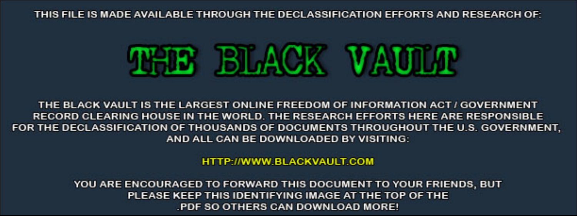THIS FILE IS MADE AVAILABLE THROUGH THE DECLASSIFICATION EFFORTS AND RESEARCH OF:



THE BLACK VAULT IS THE LARGEST ONLINE FREEDOM OF INFORMATION ACT / GOVERNMENT RECORD CLEARING HOUSE IN THE WORLD. THE RESEARCH EFFORTS HERE ARE RESPONSIBLE FOR THE DECLASSIFICATION OF THOUSANDS OF DOCUMENTS THROUGHOUT THE U.S. GOVERNMENT, AND ALL CAN BE DOWNLOADED BY VISITING:

**HTTP://WWW.BLACKVAULT.COM** 

YOU ARE ENCOURAGED TO FORWARD THIS DOCUMENT TO YOUR FRIENDS, BUT PLEASE KEEP THIS IDENTIFYING IMAGE AT THE TOP OF THE PDF SO OTHERS CAN DOWNLOAD MORE!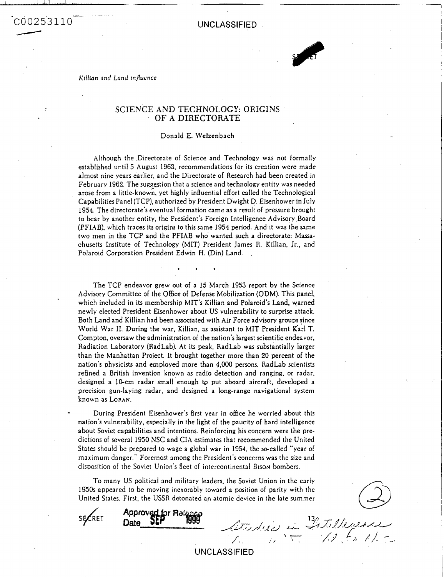# -CO 02 5'3 11 0  $\frac{1}{20025311}$

**UNCLASSIFIED** 



.. .

## SCIENCE AND TECHNOLOGY: ORIGINS OF A DIRECTORATE

#### Donald **E.** 1Velzenbach

Although the Directorate of Science and Technology was not formally established until 5 August 1963, recommendations for its creation were made almost nine years earlier, and the Directorate of Research had **been** created in February 1962. The suggestion that a science and technology entity was needed arose from a little-known, yet highly influential effort called the Technological Capabilities Panel (TCP), authorized by President Dwight **D.** Eisenhower in July 1954. The directorate's eventual formation came **as** a result of pressure brought to bear by another entity, the President's Foreign Intelligence Advisory Board (PFIAB). which traces its origins to this same 1954 **period.** And it was the same two men in the TCP and the PFIAB who wanted such a directorate: Massachusetts Institute of Technology (MIT) President James R. Killian, Jr., and Polaroid Corporation President Edwin H. (Din) Land. ,

The TCP endeavor grew out of a 15 March 1953 report by the Science Advisory Committee of the Office of Defense Mobilitation **(ODM).** This panel, which included in its membership MIT's Killian and Polaroid's Land. warned newly elected President Eisenhower about US vulnerability to surprise attack. Both Land and Killian had been associated with Air Force advisory groups since World War 11. During the war, Killian, **as** asistant to MIT President Karl T. Compton, oversaw the administration of the nation's largest scientific endeavor. Radiation Laboratory (RadLab). At its peak, RadLab was substantially larger than the Manhattan Project. It brought together more than 20 percent of the nation's physicists and employed more than **4,000** persons. RadLab scientists refined a British invention known **as** radio detection and ranging, or radar, designed a 10-cm radar small enough to put aboard aircraft, developed a precision gun-laying radar, and designed a long-range navigational system known as **LORAN.** 

During President Eisenhower's first year in office he worried about this nation's vulnerability, especially in the light of the paucity of hard intelligence about Soviet capabilities and intentions. Reinforcing his concern were the predictions of several 1950 NSC and CIA estimates that recommended the United States should be prepared to wage a global war in 1954, the so-called "year of maximum danger." Foremost among the President's concerns was the size and disposition of the Soviet Union's fleet of intercontinental BIson bombers.

To many US political and military leaders, the Soviet Union in the early *1950s* appeared to be moving inexorably toward a position of parity with the United States. First, the USSR detonated an atomic device in the late summer US political and military leaders, the Soviet Union in the early<br> **H** to be moving inexorably toward a position of parity with the<br>
First, the USSR detonated an atomic device in the late summer<br> **Approved for Reingspare** 

**S&ET** 

Date

'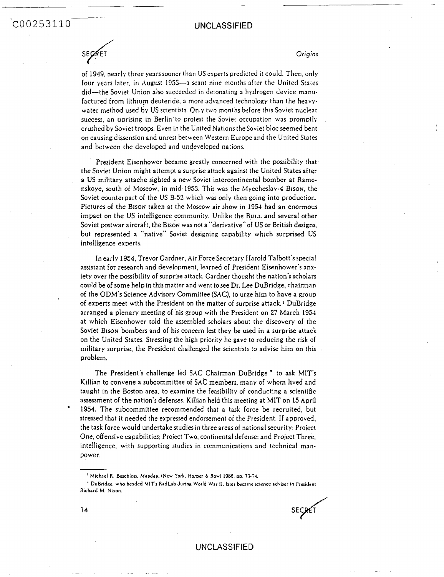COO253110

SECRET

*Origins* 

-

of 1949, nearly three years sooner than US experts predicted it could. Then, only four years later, in August 1953-a scant nine months after the United States did-the Soviet Union **also** succeeded iii detonating a hydrogen device manufactured from lithium deuteride, a more advanced technology than the heavywater method used by US scientists. Only two months before this Soviet nuclear success, an uprising in Berlin to protest the Soviet occupation was promptly crushed by Soviet troops. Even in the United Nations theSoviet blocseemed bent on causing dissension and unrest between Western Europe and the United States and between the developed and undeveloped nations.

President Eisenhower became greatly concerned with the possibility that the Soviet Union might attempt a surprise attack against the United States after a US military attache sigbted a new Soviet intercontinental bomber at Ramenskoye, south of Moscgw, in mid-1953. This was the Myecheslav-4 **BISON,** the Soviet counterpart of the US B-52 which was only then going into production. Pictures of the BISON taken at the Moscow air show in 1954 had an enormous impact on the US intelligence community. Unlike the BULL and several other Soviet postwar aircraft, the Bison was not a "derivative" of US or British designs, **but** represented a "native" Soviet designing capability which **surprised** US intelligence experts.

In early 1954, Trevor Gardner, Air Force Secretary Harold Talbott's special assistant for research and development, learned of President Eisenhower's anxiety over the possibility of surprise attack. Gardner thought the nation's scholars could be of some help in this matter and went tosee Dr. Lee DuBridge, chairman of the ODM's Science Advisory Committee **(SAC).** to urge him to have a group of **experts** meet with the President on the matter of surprise attack.' DuBridge arranged a plenary meeting of his group with the President on 27 March 1954 at which Eisenhower told the assembled scholars about the discovery of the Soviet **BISON bombers** and of his concern lest they be used in a surprise attack on the United States. Stressing the high priority he gave to reducing the risk of military **surprise,** the President challenged the scientists to advise him on this problem.

The President's challenge led **SAC** Chairman DuBridge to **ask MIT's**  Killian to convene a subcommittee of SAC members, many of whom lived and taught in the Boston area, to examine the feasibility of conducting a scientific assessment of the nation's defenses. Killian held this meeting at **MIT** on 15 April 1954. The subcommittee recommended that a task force be recruited, but stressed that it needed the expressed endorsement of the President. **If** approved, the task force would undertakestudies in three areasof national security: Project One, offensive capabilities; Project Two, continental defense; and Project Three, intelligence, with supporting studies in communications and technical manpower.

**UNCLASSIFIED** 

**14** 

. - - -.

<sup>&#</sup>x27; **Michael R. Bachlou.** *Madq.* **(New York. Hamr 6 Row) 1986. OD. 374.** 

<sup>&#</sup>x27; **DuBridgc. who headed hllf's Radbb Jurinu** World **War** It. **later became ricnce adviser to f'raident Richard M. Niion.**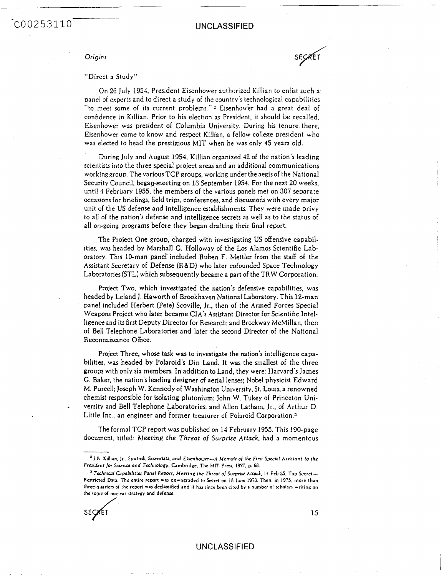## U NC LASS **IF1** ED

SECRET

-

#### *Origins*

#### "Direct **a** Study"

- -.-

On 26 July 1954, President Eisenhower authorized Killian to enlist such **3'**  panel of experts and to direct a study of the country's technological capabilities "to meet some of its current problems."<sup>2</sup> Eisenhower had a great deal of confidence in Killian. Prior to his election as President, it should be recalled. Eisenhower **was** president. of Columbia University. During his tenure there, Eisenhower came to know and respect Killian. a fellow college president who waz elected to head the prestigious **MIT** when he was only **45** Years old.

During July and August 1954, Killian organized **42** of the nation's leading scientists into the three special project areas and an additional communications working group. The various TCP groups, working under the aegis of the National Security Council, began-meeting on 13 September 1954. For the next 20 weeks, until *4* February **1955,** the members of the various panels met on 507 separate occasions for briefings, field trips, conferences, and discusions with every major unit of the US defense and intelligence establishments. They were made privy to all of the nation's defense and intelligence secrets **as** well **as** to the status of all on-going programs before they began drafting their final report.

The Project One group, charged with investigating US offensive capabilities, was headed by Marshall C. Holloway of the Los Alamos Scientific **Lab**  oratory. This 10-man panel included Ruben F. Mettler from the staff of the Assistant Secretary of Defense (R&D) who later **cofounded** Space Technology Laboratories (STL) which subsequently became a part of the TRW Corporation.

Project Two, which investigated the nation's defensive capabilities, **was**  headed by Leland J. Haworth of Brookhaven National Laboratory. This **12-man**  panel included Herbert (Pete) Scoville, Jr., then of the **Armed** Forces Special Weapons Project who later became CIA's Assistant Director for Scientific Intelligence and its first Deputy Director for Research; and Brockway McMillan, then of Bell Telephone Laboratories and later the second Director of the National Reconnaissance **Office.** 

Project Three, whose task was to investigate the nation's intelligence capabilities, **was** headed by Polaroid's Din Land. It **was** the smallest of the three groups with only six members. In addition to Land, they were: Harvard's James C. Baker, the nation's leading designer *uf* aerial lenses; Nobel physicist Edward M. Purcell; Joseph W. Kennedy of Washington University, St. Louis, a renowned chemist responsible for isolating plutonium; john **W.** Tukey of Princeton University and Bell Telephone Laboratories; and Allen Latham, Jr.. of Arthur D. Little Inc., an engineer and former treasurer of Polaroid Corporation.<sup>3</sup>

The formal TCP report **was** published on 13 February 1955. This 190-page document, titled: *Meeting the* Thrent *of* **Surprise** *Attuck,* had a momentous

<sup>&</sup>lt;sup>3</sup> Technical Capabilities Panel Report. Meeting the Threat of Surprise Attack, 14 Feb 55. Top Secret-**Rertricd Data. The entire reoort wa downgradd** io kra **on 18 June 1973. Then. in 1375. more than threeawnen of the recon was declasitied and it hu sine** hn **citcd by a number of uholarr writing on the tooic of nuclear stratem and defence.** 



.

<sup>\*</sup> J.R. **Killun, Jr.. Spufnik. Sclcnflslr.** *and ELcnhoun-A Memoir 01 the* **Finr** *Spuiul Asfitonf lo fhc Presi&nf JOT scimcc and Tcchnologv.* **Cambridge. The MIT** Prerr. **19i;.** *0. 69.*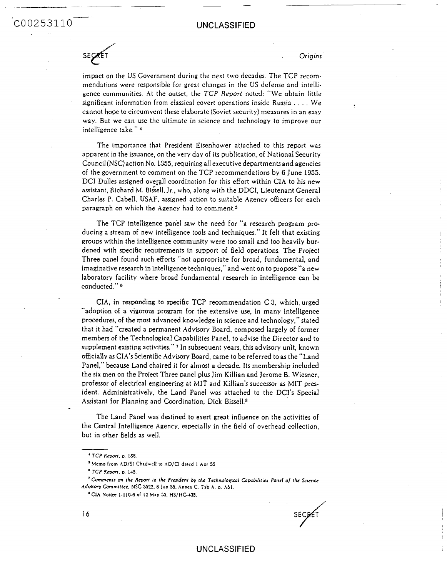# **COO253110** UNCLASSIFIED

**SECRET** 

*Origins* 

impact on the US Government during the next two decades. The TCP recommendations were responsible for great changes in the US defense and intelligence communities. At the outset, the *TCP Report* noted: "We obtain little significant information from classical covert operations inside Russia . . . . We cannot hope to circumvent these elaborate (Soviet security) measures in an easy way. But we can use the ultimate in science and technology to improve our intelligence take." *<sup>4</sup>*

The importance that President Eisenhower attached to this report was apparent in the issuance, on the very day of its publication, of National Security Council (NSC)action No. **1355,** requiring all executive departments and agencies of the government to comment on the TCP recommendations by 6 June **1955.**  DCI Dulles assigned overall coordination for this effort within CIA to his new assistant, Richard M. Bissell, Jr., who, along with the DDCI, Lieutenant General Charles P. Cabell, USAF, assigned action to suitable Agency officers for each paragraph on which the Agency had to comment.5

The TCP intelligence panel **saw** the need for "a research program producing a stream of new intelligence tools and techniques." It felt that existing groups within the intelligence community were too small and too heavily burdened with specific requirements in support of field operations. The Project Three panel found such efforts "not appropriate for broad, fundamental, and imaginative research in intelligence techniques," and went on to propose "a new laboratory facility where broad fundamental research in intelligence can be conducted." **<sup>6</sup>**

CIA, in responding to specific TCP recommendation C 3, which urged "adoption of a vigorous program for the extensive use. in many intelligence procedures, of the most advanced knowledge in science and technology," stated that it had "created a permanent Advisory Board. composed largely of former members of the Technological Capabilities Panel, to advise the Director and to supplement existing activities." **7** In subsequent years, this advisory unit, known o6cialIy **as** *CIh's* Scientific Advisory Board, came to be referred to **as** the "Land Panel,'' *because* Land chaired it for almost a decade. Its membership included the six men on the Project Three panel plus Jim Killian and Jerome B. Wiesner, professor of electrical engineering at MIT and Killian's successor as MIT president. Administratively, the Land Panel was attached to the DCI's Special Assistant for Planning and coordination. Dick **Bissell.8** 

The Land Panel was destined to exert great influence on the activities of the Central Intelligence Agency, especially in the field of overhead collection, but in other Eields **as** well.

SECRET

<sup>&</sup>lt;sup>4</sup> TCP Report, p. 188.

<sup>&</sup>lt;sup>3</sup> Memo from AD/SI Chadwell to AD/CI dated 1 Apr 55.

 $^{\circ}$  TCP Report, p. 145.

<sup>&</sup>lt;sup>7</sup> Comments on the Report to the President by the Technological Capabilities Panel of the Science Adulsory Committee, NSC 5522, 8 Jun 55, Annex C, Tab A, p. A51.

<sup>&</sup>lt;sup>8</sup> CIA Notice 1-110-6 of 12 May 55, HS/HC-435.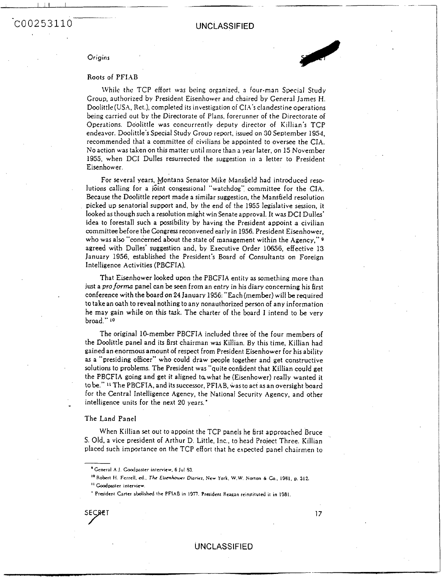<sup>I</sup>I1 I .\_ --

**Origins** 

COO253110

#### Roots of PFIAB

LVhile thc TCP effort was being organized, a four-man Special Study Group, authorized by President Eisenhower and chaired by General lames **H.**  Doolittle(USA, Ret.). completed its investigation of CI,4's clandestine operations being carried out by the Directorate of Plans. forerunner of the Directorate of Operations. Doolittle was concurrently deputy director of Killian's TCP endeavor. Doolittle's Special Study Group report, issued on 30 September 1954, recommended that a committee of civilians be appointed to oversee the **CIA.**  No action was taken on this matter until more than a year later, on 15 November 1955, when DCI Dulles resurrected the suggestion in **a** letter to President Eisenhower.

For several years, Montana Senator Mike Mansfield had introduced resolutions calling for a joint congessional "watchdog" committee for the CIA. Because the Doolittle report made a similar suggesticn, the Mansheld resolution picked up senatorial support and, by the end of the 1955 legislative session, it looked as though such a resolution might win Senate approval. It **was** DCI Dulles' idea to forestall such a possibility by having the President appoint a civilian committee before the Congress reconvened early in 1956. President Eisenhower, who was also "concerned about the state of management within the Agency," 9 agreed with Dulles' suggestion and, by Executive Order 10656, effective 13 January 1956. established the President's Board of Consultants on Foreign Intelligence Activities **(PBCFIA).** 

That Eisenhower looked uwn the PBCFIA entity **as** something more than just a pro forma panel can be seen from an entry in his diary concerning his first conference with the board on **24** January 1956: "Each (member) will be required to take an oath to reveal nothing to any nonauthorized person of any information he may gain while on this task. The charter of the board I intend to be very broad." **10** 

The original 10-member PBCFIA included three **ot** the four members of the Doolittle panel and its Erst chairman was Killian. By this time, Killian had gained an enormous amount of respect from President Eisenhower for his ability **as** a "presiding officer" who could draw people together and get constructive solutions to problems. The President was "quite confident that Killian could get the PBCFIA going and get it aligned to what he (Eisenhower) really wanted it to be." **11** The PBCFIA, and its successor, PFIAB, was to act **as** an oversight board for the Central Intelligence Agency, the National Security Agency, and other intelligence units for the next 20 years.'

#### The Land Panel

When Killian set out to appoint the TCP panels he first approached Bruce S. Old, a vice president of Arthur D. Little, Inc., to head Project Three. Killian placed such importance on the TCP effort that he expected panel chairmen to

SECRET 17

<sup>&</sup>lt;sup>8</sup> General A.J. Coodpaster interview, 6 Jul 83.

<sup>&</sup>quot;Robert **It. Fcrrcll.** 4.. *Tk* **ELr~huuur &net.** *New* **York. W.W.** *Norton* **<sup>6</sup>***6..* **1981, p. 312.** 

<sup>&</sup>lt;sup>11</sup> Goodpaster interview.

<sup>&#</sup>x27; **Praident Gner abolished tlrc PFlhB in 1'377. Praideni Heagan** reinrtituted it in **1981.**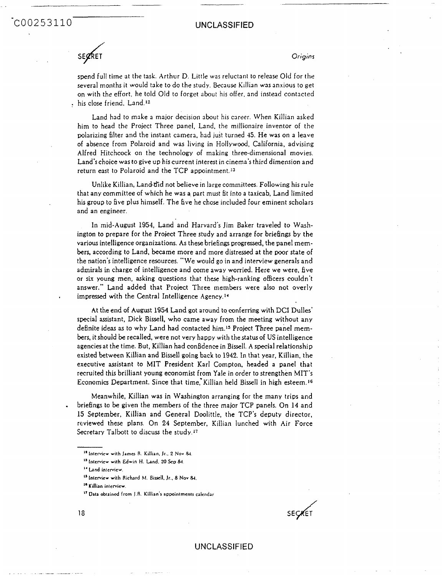### UNCLASSIFIED

**SE** *4* **ET** 

COO253110

#### *Origins*

spend full time at the task. Arthur D. Little was reluctant to release Old for the several months it would take to do the study. **Because** Killian was anxious to get on with the effort, he told Old to forget about his offer, and instead contacted his close friend, Land."

Land had to make a major decision about his career. When Killian asked him to head the Project Three panel, Land, the millionaire inventor of the polarizing filter and the instant camera, had just turned **4.5.** He was on a leave of absence from Polaroid and was living in Hollywood, California, advising Alfred Hitchcock on the technology of making three-dimensional movies. Land's choice was to give up his current interest in cinema's third dimension and return east to Polaroid and the TCP appointment.<sup>13</sup>

Unlike Killian, Land did not believe in large committees. Following his rule that any committee of which he was a part must fit into a taxicab, Land limited his group to hve PIUS himself. The five he chose included four eminent scholars and an engineer.

In mid-August 1954, Land and Harvard's Jim Baker traveled to Washington to prepare for the Project Three study and arrange for briebngs by the various intelligence organizations. **As** these briehgs **progressed,** the Dane1 mem**bers,** according to Land, became more and more distressed at the poor state of the nation's intelligence resources. "We would go in and interview generals and admirals in charge of intelligence and come away worried. Here we were, five or **six** young men, asking questions that these high-ranking officers couldn't answer." Land added that Project Three members were **also** not overly impressed with the Central Intelligence Agency.''

**At** the end of **August** 1954 Land got around to conferring with **DCI** Dulles' special assistant, Dick Bissell, who came away from the meeting without any dehite ideas **as** to why Land had contacted him.15 Project Three panel mem**bers,** it should be recalled, were not very happy with the statusof US intelligence agenciesat the time. But, Killian had confidence in Bissell. *A* special relationship existed between Killian and Sissell going back to 1942. In that year, Killian, the executive assistant to **MIT** President Karl Compton. headed a panel that recruited this brilliant young economist from Yale in order to strengthen **MIT's**  Economics Department. Since that time, Killian held Bissell in high esteem.<sup>16</sup>

Meanwhile, Kjllian was in Washington arranging for the many trips and briefings to be given the members of the three major **TCP** panels. On **14** and 15 September, Killian and General Doolittle, the TCP's deputy director, reviewed these plans. On 24 September, Killian lunched with Air Force Secretary Talbott to discuss the study.<sup>17</sup>

**SE** *d* ET

**I\* Intcmcv with Jamo R. Killian. Jr., 2 No" 9(.** 

**I' Interview with Edwin H.** Land. **20 Scv** &

**I' bnd intervicw.** 

<sup>&</sup>quot; **Interview with Ricturd bi. Birull. Jr.. 8 Nov** &.

<sup>&#</sup>x27;' **Killian interview.** 

**I' Data obtain& from 1.R. Killian's aooainlments calcndar**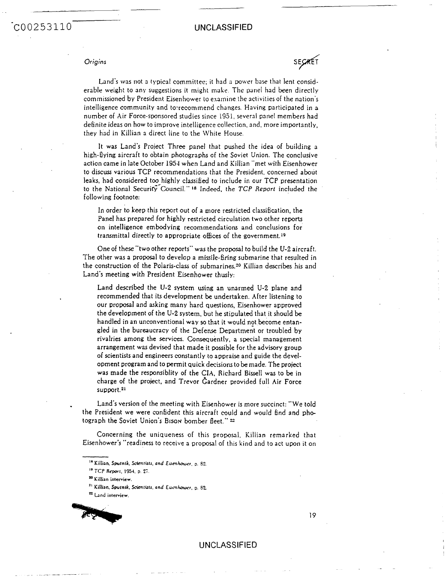#### *Origins*

COO253110

SECRET

Land's was not a typical committee; it had a power base that lent considerable weight to any suggestions it might make. The panel had been directly commissioned by President Eisenhower to examine the activities of the nation's intelligence community and to:recommend changes. Having participated in **3**  number of Air Force-soonsored studies since 1951. several panel members had definite ideas on how to improve intelligence collection, and. more importantly, they had in Killian a direct line to the White House.

It was Land's Project Three panel that pushed the idea of building **3**  high-flying aircraft to obtain photographs of the Soviet Union. The conclusive action came in late October 1954 when Land and Killian "met with Eisenhower to discuss various TCP recommendations that the President, concerned about leaks, had considered too highly classified to include in our **TCP** presentation to the National Securirf\*Council." **18** Indeed. the *TCP Report* included the following footnote:

In order to keep this report out of a more restricted classification, the Panel has prepared for highly restricted circulation two other reports on intelligence embcdying recommendations and conclusions for transmittal directly to appropriate offices of the government.<sup>19</sup>

One of these "two other reports" was the proposal to build the **U-2** aircraft. The other was a proposal to develop a missile-firing submarine that resulted in the construction of the Polaris-class of submarines.<sup>20</sup> Killian describes his and Land's meeting with President Eisenhower thusly:

Land described the **U-2** system using an unarmed U-2 plane and recommended that its development be undertaken. After listening to our proposal and asking many hard questions. Eisenhower approved the development of the U-2 system, but he stipulated that it should be handled in an unconventional way so that it would not become entan**gled** in the bureaucracy of the Defense Department or troubled by rivalries among the **services.** Consequently, a special management arrangement was devised that made it possible for the advisory group of scientists and engineers constantly to appraise and guide the development program and *to* permit Quick decisions to be made. The project was made the responsiblity of the **CIA,** Richard Bissell was to be in charge of the project, and Trevor Cardner provided full Air Force support.21

Land's version of the meeting with Eisenhower is more succinct: "We told the President we were confident this aircraft could and would Eind and photograph the Soviet Union's BISON bomber fleet."<sup>22</sup>

Concerning the uniaueness of this proposal, Killian remarked that Eisenhower's "readiness to receive 3 proposal of this kind and to act upon it on

TCP *Rwf.* **19%. D. 27.**  I\*

**Lnd interview.** 



19

I" **Killian. Smtnlk.** *SdmlUk* **and** *Eumhowr,* **0. 82.** 

**KiIIiro interview.** 

<sup>&</sup>quot; **Killian. Spurnrk. Scirntbtr. and Eurnhou\*.r. D.** *<sup>82</sup>*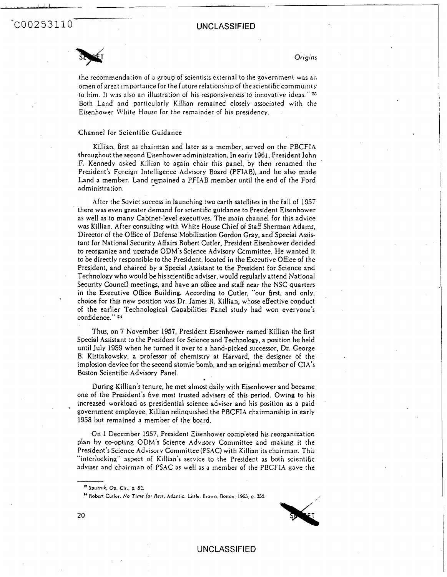**<sup>I</sup>**I



*Origins* 

.

the recommendation of *3* group of scientists csternal to the government **was** 31) omen of great importance for the future relationship of the scientific community to him. It **\vas also** an illustration of his responsiveness to innovative ideas."= Both Land and particularly Killian remained closely associated with the Eisenhower White House for the remainder of his presidency.

#### Channel for Scientific Guidance

-. .

Killian. first as chairman and later as a member, served on the PBCFIA throughout the second Eisenhower administration. In early 1961, President John F. Kennedy **asked** Killian to again chair this panel, by then renamed the President's Foreign Intelligence Advisory Board (PFIAB), and he also made Land a member. Land remained a PFIAB member until the end of the Ford administration.

After the Soviet success in launching two earth satellites in the fall of 1957 there was even greater demand for scientibc guidance to President Eisenhower **as** well **as** to many Cabinet-level executives. The main channel for this advice **was** Killian. After consulting with White House Chief of Staff Sherman Adams, Director of the Office of Defense Mobilization Gordon Gray, and Special Assistant for National Security Affairs Robert Cutler, President Eisenhower decided to reorganize and upgrade ODM's Science Advisory Camnittee. He wanted it to be directly responsible to the President, **located** in the Executive Office of the President, and chaired by a Special Assistant to the President for Science and Technology who would be his scientific adviser, would regularly attend National Security Council meetings, and have an office and staff near the NSC quarters in the Executive Office Building. According to Cutler, "our first, and only, choice for this new position was Dr. James R. Killian, whose effective conduct of the earlier Technological Capabilities Panel study had won everyone's confidence."<sup>24</sup>

Thus, on 7 November 1957, President Eisenhower named Killian the first Special Assistant to the President for Science and Technology, a position he held until July 1959 when he turned it over to a hand-picked successor. Dr. George B. Kistiakowsky, a professor ,of chemistry at Harvard. the designer of the implosion device for the second atomic bomb, and an original member of CIA'S Boston Scientific Advisory Panel.

During Killian's tenure, he met almost daily with Eisenhower and became one of the President's bve **most** trusted advisers of this period. Owing to his increased workload as presidential science adviser and his position **as** a paid government employee, Killian relinquished the PBCFIA chairmanship in early 1958 but remained a member of the board.

On 1 December 1957, President Eisenhower completed his reorganization plan by ceopting ODM's Science Advisory Committee and making it the President's Science Advisory Committee (PSAC) with Killian its chairman. This "interlocking" **asgect** of Killian's service to the President as both scientific adviser and chairman of PSAC **as** well 3s a member of the PBCFIA gave the

<sup>&</sup>lt;sup>24</sup> Robert Cutler, No Time for Rest, Atlantic, Little, Brown, Boston, 1965, p. 352.



**20** 

-

<sup>&</sup>lt;sup>13</sup> Sputnik, Op. Cit., p. 82.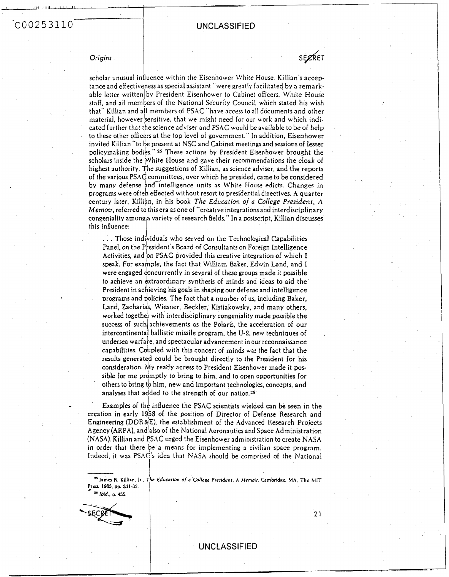$C00253110$ 

#### **UNCLASSIFIED**

I **S&ET** 

*Origins* 

*I* 

scholar unusual influence within the Eisenhower White House, Killian's acceptance and effectiveness as special assistant "were greatly facilitated by a remarkable letter written by President Eisenhower to Cabinet officers, White House staff, and all members of the National Security Council, which stated his wish that" Killian and all members of PSAC "have access to all documents and other material, however sensitive, that we might need for our work and which indicated further that the science adviser and PSAC would be available to be of help to these other officers at the top level of government." In addition, Eisenhower invited Killian "to be present at NSC and Cabinet meetings and sessions of lesser policymaking bodies."<sup>25</sup> These actions by President Eisenhower brought the scholars inside the White House and gave their recommendations the cloak of highest authority. The suggestions of Killian, as science adviser, and the reports of the various PSAC committees, over which he presided, came to be considered by many defense and intelligence units as White House edicts. Changes in programs were often effected without resort to presidential directives. A quarter century later, Killian, in his book The Education of a College President, A Memoir, referred to this era as one of "creative integrations and interdisciplinary congeniality among|a variety of research fields." In a postscript, Killian discusses this influence:

... Those individuals who served on the Technological Capabilities Panel, on the President's Board of Consultants on Foreign Intelligence Activities, and on PSAC provided this creative integration of which I speak. For example, the fact that William Baker, Edwin Land, and I were engaged concurrently in several of these groups made it possible to achieve an extraordinary synthesis of minds and ideas to aid the President in achieving his goals in shaping our defense and intelligence programs and policies. The fact that a number of us, including Baker, Land, Zacharias, Wiesner, Beckler, Kistiakowsky, and many others, worked together with interdisciplinary congeniality made possible the success of such achievements as the Polaris, the acceleration of our intercontinental ballistic missile program, the U-2, new techniques of undersea warfare, and spectacular advancement in our reconnaissance capabilities. Coupled with this concert of minds was the fact that the results generated could be brought directly to the President for his consideration. My ready access to President Eisenhower made it possible for me promptly to bring to him, and to open opportunities for  $^{\circ}$  others to bring to him, new and important technologies, concepts, and analyses that added to the strength of our nation. $^{26+}$ 

**Examples of the influence the PSAC scientists wielded can be seen in the** creation in early 1958 of the position of Director of Defense Research and Engineering (DDR&E), the establishment of the Advanced Research Projects Agency (ARPA), and **Is0** of the National Aeronautics and Space Administration (NASA). Killian and PSAC urged the Eisenhower administration to create NASA in order that there e a means for implementing **3** civilian space program. Indeed, it was PSAC's idea that NASA should be comprised of the National

**c** *Educofh* **o/** *a Cnllcuc* **Prcri&nf.** *A* **Memar. Gmbridae. MA. The hllT**  Press, 1985, pp. 331-32. <sup>26</sup> Ibid., p. 455.

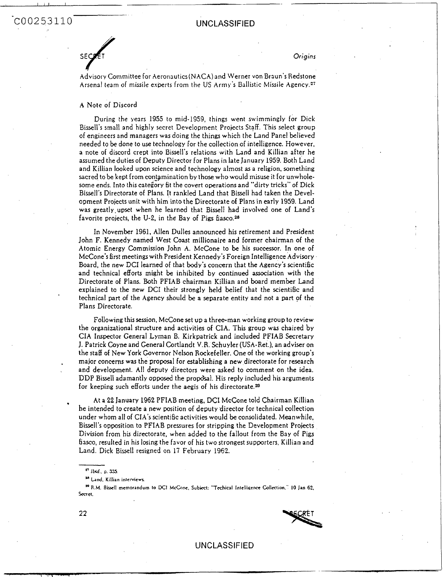COO253110 UNCLASSIFIED



*Origins* 

Advisory Committee for Aeronautics(NACA)and Werner von Braun's Redstone Arsenal team of missile experts from the US Army's Ballistic Missile Agency.<sup>27</sup>

#### **A** Note of Discord

\_\_

During the years 1955 to mid-1959, things went swimmingly for Dick Bissell's small and highly secret Development Projects St9ff. This select group of engineers and managers was doing the things which the Land Panel believed needed to be done to use technology for the collection of intelligence. However, a note of discord crept into Bissell's relations with Land and Killian after he assumed the duties of Deputy Director for Plans in late January 1959. Both Land and Killian looked upon science and technology almost **as** a religion, something sacred to be kept from contamination by those who would misuse it for unwholesome ends. Into this category fit the covert operations and "dirty tricks" of Dick Bisseli's Directorate of Plans. It rankled Land that **Bissell** had taken the Development Projects unit with him into the Directorate of Plans in early 1959. Land was greatly.upset when he learned that Bissell had involved one of Land's favorite projects, the U-2, in the Bay of Pigs fiasco.<sup>28</sup>

In November 1961, Allen Dulles announced his retirement and President John F. Kennedy named West Coast millionaire and former chairman of the Atomic Energy Commission John **A.** McCone to be his successor. In one of McCone's first meetings with President Kennedy's Foreign Intelligence Advisory Board, the new DCI learned of that body's concern that the Agency's scientific and technical efforts might be inhibited by continued association with the Directorate of Plans. Both PFIAB chairman Killian and board member Land explained to the new DCI their strongly held belief that the scientific and technical part of the Agency should be a separate entity and not a part of the Plans Directorate.

Following this session, McCone set up a three-man working group to review the organizational structure and activities of CIA. This group was chaired by CIA Inspector General Lyman B. Kirkpatrick and included PFIAB Secretary J. Patrick Coyne and General Cortlandt V.R. Schuyler (USA-Ret.), an adviser on the staff of New York Governor Nelson Rockefeller. One of the working group's major concerns **was** the proposal for establishing **a** new directorate for research and development. **All** deputy directors were asked to comment on the idea. DDP Bissell adamantly opposed the proposal. His reply included his arguments for keeping such efforts under the aegis of his directorate.<sup>29</sup>

At a 22 January 1962 PFIAB meeting, DCI McCone told Chairman Killian he intended to create a new position of deputy director for technical collection under whom all of CIA'S scientific activities would be consolidated. Meanwhile, Bissell's opwsition to PFIAB pressures for stripping the Development Projects Division from his directorate, when added to the fallout from the Bay of Pigs fiasco, resulted in his losing the favor of his two strongest supporters. Killian and Land. Dick Bissell resigned on 17 February 1962.

**R.M.** Biucll **memorandum to DCI McConc. Subiect: "Techicsl lntelliaencr Collection." 10 Jan 62, <sup>A</sup>** Secret.



### UNCLASSIFIED

**22** 

,

*lid., 0. 535* 

**Lnd. Killian intcrvievr**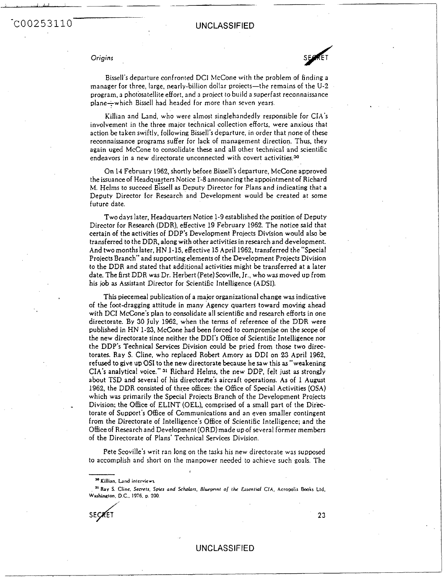# -COO2 53 110 UNCLASSIFIED

#### *Origins*

\_\_

Bissell's departure confronted DCI McCone with the problem **of** finding **3**  manager for three, large, nearly-billion dollar projects-the remains of the U-2 program, **3** photosatellite effort, and a project to build a suwrfast reconnaissance plane-which Bissell had headed for more than seven years.

Killian and Land, who were almost singlehandedly responsible for CIA's involvement in the three major technical collection efforts, were anxious that action be taken swiftly, following Bissell's departure, in order that none of these reconnaissance programs suffer for lack of management direction. Thus. they again uged McCone to consolidate these and all other technical and scientific endeavors in a new directorate unconnected with covert activities.<sup>30</sup>

On 14 February 1962, shortly before Bissell's departure, McCone approved the issuance of Headqua~ters Notice **1-8** announcing the appointment of Richard M. Helms to succeed Bissell **as** Deputy Director for **Plans** and indicating that a Deputy Director for Research and Development would be created at some future date.

Two days later, Headquarters Notice 1-9 established the position of Deputy Director for Research (DDR), effective 19 February 1962. The notice said that certain **of** the activities of DDP's Development Projects Division would also be transferred to the DDR, along with other activities in research and development. And two months later, HN 1-15, effective 15 **April** 1962, transferred the"Specia1 Projects Branch" and supporting elements of the Development **Projects** Division to the **DDR** and stated that additional activities might be transfened at a later date. The first DDR **was** Dr. Herbert (Pete)Scoville. Jr., who was moved up from his **job as** Assistant Director for Scientific Intelligence (ADSI).

This piecemeal publication of a major organizational change was indicative of the foot-dragging attitude in many Agency quarters toward moving ahead with DCI McCone's plan to consolidate all scientific and research efforts in one directorate. BY 30 July 1962, when the terms of reference of the DDR were published in HN 1-23, McCone had been forced to compromise on the scope of the new directorate since neither the DDI's Office of Scientific Intelligence nor the DDP's Technical Services Division could be pried from those two directorates. Ray S. Cline, who replaced Robert Amory as DDI on 23 April 1962, refused to give **UP OS1** to the new directorate **because** he saw this as"weakening **CIA'S** analytical voice." **31** Richard Helms, the new **DDP,** felt just **as** strongly about **TSD** and several of his directorate's aircraft operations. **As** of 1 August 1962, the DDR consisted of three offices: the Office of Special Activities (OSA) which was primarily the Special Projects Branch of the Development Projects Division; the Office of ELINT (OEL), comprised of a small part of the Directorate of Support's OEEice of Communications and an even smaller contingent from the Directorate of Intelligence's Office of Scientific Intelligence; and the Office of Research and Development (ORD) made up of several former members of the Directorate of Plans' Technical Services Division.

Pete Scoville's writ ran long on the **tasks** his new directorate was supposed to accomplish and short on the manpower **needed** to achieve such **goals.** The

SECRET

-

**23** 

**<sup>3</sup>o Killian. Land intcrvicvr** 

<sup>&</sup>lt;sup>31</sup> Ray S. Cline, Secrets, Spies and Scholars, Blueprint of the Essential CIA, Acropolis Books Ltd. **washinaton. D.C.. 1976. D.** *200.*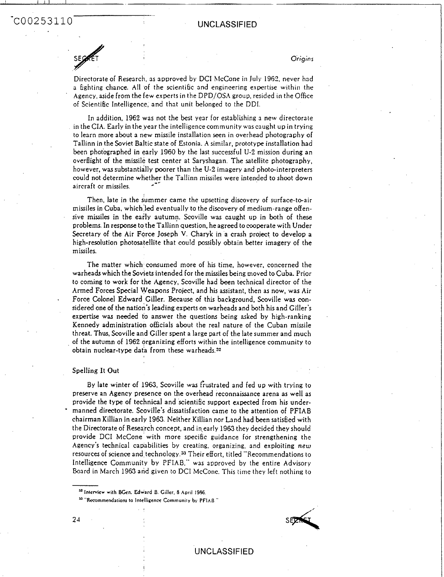-COO2 5311 0 UNCLASSIFIED

I I **1.1** I

*Origins* 

Directorate of Research, **as** approved by **DCI** hlcCone in July 1962, never had a fighting chance. **All** of the scientific and engineering expertise within the Agency, aside from the few experts in the DPD/OSA group. resided in the Office of Scientific Intelligence, and that unit belonged to the DDI.

In addition, 1962 was not the best year for establishing a new directorate in the CIA. Early in the year the intelligencecommunity wascaught up in trying to learn more about a new missile installation seen in overhead photography of Tallinn in the Soviet Baltic state of Estonia. *h* similar, prototype installation had been photographed in early 1960 by the last successful U-2 mission during an overflight of the missile test center at Saryshagan. The satellite photography, however, was substantially poorer than the U-2 imagery and photo-interpreters could not determine whether the Tallinn missiles were intended to shoot down<br>circually as missiles aircraft or missiles

Then, late in the summer came the upsetting discovery of surface-to-air missiles in Cuba, which **led** eventually to the discovery of medium-range offensive missiles in the early autumn. Scoville was caught up in both of these problems. In response to the Tallinn question, he agreed to cooperate with Under Secretary of the Air Force Joseph **V.** Charyk in a crash project to develop a high-resolution photosatellite that could possibly obtain better imagery of the missiles.

The matter which consumed more of his time, however, concerned the warheads which the Soviets intended for the missiles being moved to Cuba. Prior to coming to work for the Agency, Scoville had been technical director of the Armed Forces Special Weapons Project, and his assistant, then as now, was Air Force Colonel Edward Ciller. Because of this background, Scoville was considered one of the nation's leading experts on warheads and both his and Giller's expertise was needed to answer the questions being asked by high-ranking Kennedy administration officials about the real nature of the Cuban missile threat. Thus, Scoville and Giller spent a large part of the late summer and much of the autumn **of** 1962 organizing efforts within the intelligence community to obtain nuclear-type data from these warheads.32

#### Spelling It Out

'

-

By late winter of 1963, Scoville was frustrated and fed up with trying to preserve an Agency presence on the overhead reconnaissance arena as well as provide the type of technical and scientific support expected from his undermanned directorate. Scoville's dissatisfaction came to the attention of PFIAB chairman Killian in early 1963. Neither Killian nor Land had **been** satisbed with the Directorate of Research concept, and in-early **1963** they decided they should provide DCI McCone with more specific guidance for strengthening the hgency's technical caDabilities by creating, organizing. and exploiting *new*  resources of science and technology.<sup>33</sup> Their effort, titled "Recommendations to Intelligence Community by PFIAB," was approved by the entire Advisory Board in March 1963 and given to DCI McCone. This time they left nothing to

**Interview with BCen. Edward** *8.* **Ciller. 8 April 1996.** 

<sup>35</sup> "Recommendations to Intelligence Community by PFIAB."

I



### UNCLASSIFIED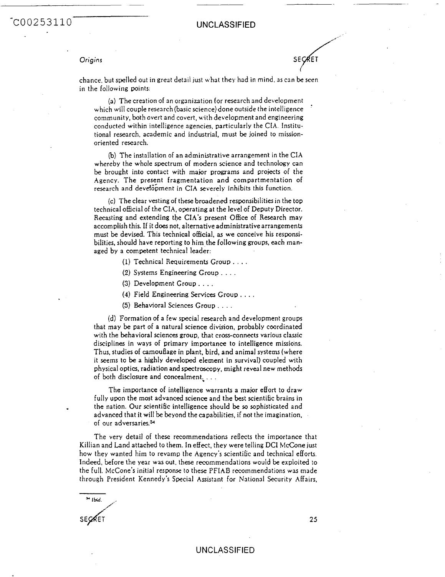## COO253110 UNCLASSIFIED

*Origins* **SE** ./.' **ET** 

'

chance, but spelled out in great detail just \\.hat they had in mind, 3s can be seen in the following points.

**(a)** The creation of an organization tor research and development which will couple research (basic science) done outside the intelligence community, both overt and covert, with development and engineering conducted within intelligence agencies, particularly the **CIA.** Instjtutional research. academic and industrial, must be joined to missionoriented research.

(b) The installation of an administrative arrangement in the CIA whereby the whole spectrum of modern science and technology can be brought into contact with major programs and projects ol the Agency. The present fragmentation and compartmentation of research and development in CIA severely inhibits this function.

(c) The clear vesting of these broadened responsibilities in the top technical official of the CIA, operating at the level of Deputy Director. Recasting and extending tbe **CIA'S** present Office of Research may accomplish this. **If** it does not, alternative administrative arrangements must be devised. This technical official, as we conceive his responsibilities, should have reporting to him the following groups, each managed by a competent technical leader:

- (1) Technical Requirements Group. . . .
- **(2)** Systems Engineering Croup. . , .
- **(3)** Development Group. . . .

**(4)** Field Engineering Senices Group , . . .

(5) Behavioral Sciences Group . . . .

(d) Formation of a few special research and development groups that may be part of a natural science division, probably coordinated with the behavioral sciences group, that cross-connects various classic disciplines in ways of primary importance to intelligence missions. Thus, studies of camouflage in plant, bird, and animal systems (where it seems to be a highly developed element in survival) coupled with physical optics, radiation and spectroscopy, might reveal new methods of both disclosure and concealment;. . .

The importance of intelligence warrants a major effort to draw fully upon the most advanced science and the best scientific brains in the nation. Our scientific intelligence should be *so* sophisticated and advanced that it will be beyond the capabilities, if not the imagination, of our adversaries.<sup>34</sup>

The very detail of these recommendations reflects the importance that Killian and Land attached to them. In effect, they were telling DCI McCone just how they wanted him to revamp the Agency's scientific and technical efforts. Indeed, before the year was out, these recornmendations would be exploited to the full. McCone's initial response to these PFIAB recommendations was made through President Kennedy's Special Assistant for Nationd Security Affairs,